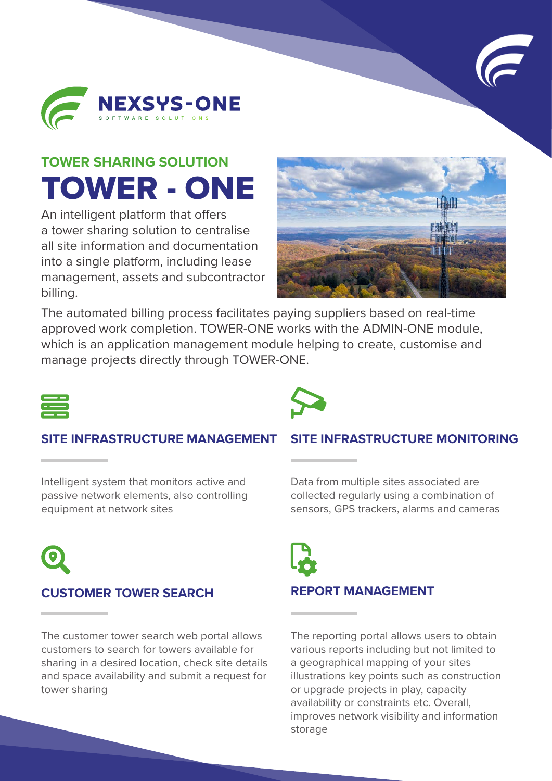



# **TOWER SHARING SOLUTION** TOWER - ONE

An intelligent platform that offers a tower sharing solution to centralise all site information and documentation into a single platform, including lease management, assets and subcontractor billing.



The automated billing process facilitates paying suppliers based on real-time approved work completion. TOWER-ONE works with the ADMIN-ONE module, which is an application management module helping to create, customise and manage projects directly through TOWER-ONE.



#### **SITE INFRASTRUCTURE MANAGEMENT**

Intelligent system that monitors active and passive network elements, also controlling equipment at network sites



### **CUSTOMER TOWER SEARCH**

The customer tower search web portal allows customers to search for towers available for sharing in a desired location, check site details and space availability and submit a request for tower sharing

#### **SITE INFRASTRUCTURE MONITORING**

Data from multiple sites associated are collected regularly using a combination of sensors, GPS trackers, alarms and cameras



#### **REPORT MANAGEMENT**

The reporting portal allows users to obtain various reports including but not limited to a geographical mapping of your sites illustrations key points such as construction or upgrade projects in play, capacity availability or constraints etc. Overall, improves network visibility and information storage